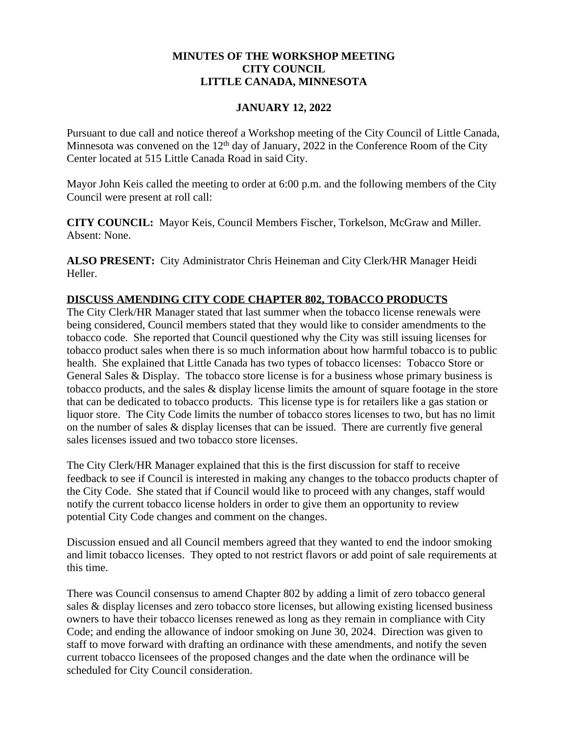# **MINUTES OF THE WORKSHOP MEETING CITY COUNCIL LITTLE CANADA, MINNESOTA**

### **JANUARY 12, 2022**

Pursuant to due call and notice thereof a Workshop meeting of the City Council of Little Canada, Minnesota was convened on the  $12<sup>th</sup>$  day of January, 2022 in the Conference Room of the City Center located at 515 Little Canada Road in said City.

Mayor John Keis called the meeting to order at 6:00 p.m. and the following members of the City Council were present at roll call:

**CITY COUNCIL:** Mayor Keis, Council Members Fischer, Torkelson, McGraw and Miller. Absent: None.

**ALSO PRESENT:** City Administrator Chris Heineman and City Clerk/HR Manager Heidi Heller.

# **DISCUSS AMENDING CITY CODE CHAPTER 802, TOBACCO PRODUCTS**

The City Clerk/HR Manager stated that last summer when the tobacco license renewals were being considered, Council members stated that they would like to consider amendments to the tobacco code. She reported that Council questioned why the City was still issuing licenses for tobacco product sales when there is so much information about how harmful tobacco is to public health. She explained that Little Canada has two types of tobacco licenses: Tobacco Store or General Sales & Display. The tobacco store license is for a business whose primary business is tobacco products, and the sales & display license limits the amount of square footage in the store that can be dedicated to tobacco products. This license type is for retailers like a gas station or liquor store. The City Code limits the number of tobacco stores licenses to two, but has no limit on the number of sales & display licenses that can be issued. There are currently five general sales licenses issued and two tobacco store licenses.

The City Clerk/HR Manager explained that this is the first discussion for staff to receive feedback to see if Council is interested in making any changes to the tobacco products chapter of the City Code. She stated that if Council would like to proceed with any changes, staff would notify the current tobacco license holders in order to give them an opportunity to review potential City Code changes and comment on the changes.

Discussion ensued and all Council members agreed that they wanted to end the indoor smoking and limit tobacco licenses. They opted to not restrict flavors or add point of sale requirements at this time.

There was Council consensus to amend Chapter 802 by adding a limit of zero tobacco general sales & display licenses and zero tobacco store licenses, but allowing existing licensed business owners to have their tobacco licenses renewed as long as they remain in compliance with City Code; and ending the allowance of indoor smoking on June 30, 2024. Direction was given to staff to move forward with drafting an ordinance with these amendments, and notify the seven current tobacco licensees of the proposed changes and the date when the ordinance will be scheduled for City Council consideration.